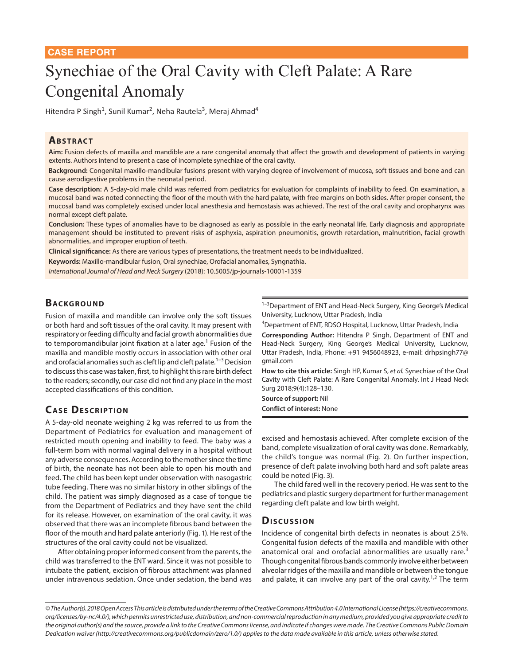# Synechiae of the Oral Cavity with Cleft Palate: A Rare Congenital Anomaly

Hitendra P Singh<sup>1</sup>, Sunil Kumar<sup>2</sup>, Neha Rautela<sup>3</sup>, Meraj Ahmad<sup>4</sup>

#### **ABSTRACT**

**Aim:** Fusion defects of maxilla and mandible are a rare congenital anomaly that affect the growth and development of patients in varying extents. Authors intend to present a case of incomplete synechiae of the oral cavity.

**Background:** Congenital maxillo-mandibular fusions present with varying degree of involvement of mucosa, soft tissues and bone and can cause aerodigestive problems in the neonatal period.

**Case description:** A 5-day-old male child was referred from pediatrics for evaluation for complaints of inability to feed. On examination, a mucosal band was noted connecting the floor of the mouth with the hard palate, with free margins on both sides. After proper consent, the mucosal band was completely excised under local anesthesia and hemostasis was achieved. The rest of the oral cavity and oropharynx was normal except cleft palate.

**Conclusion:** These types of anomalies have to be diagnosed as early as possible in the early neonatal life. Early diagnosis and appropriate management should be instituted to prevent risks of asphyxia, aspiration pneumonitis, growth retardation, malnutrition, facial growth abnormalities, and improper eruption of teeth.

**Clinical significance:** As there are various types of presentations, the treatment needs to be individualized.

**Keywords:** Maxillo-mandibular fusion, Oral synechiae, Orofacial anomalies, Syngnathia.

*International Journal of Head and Neck Surgery* (2018): 10.5005/jp-journals-10001-1359

### **BACKGROUND**

Fusion of maxilla and mandible can involve only the soft tissues or both hard and soft tissues of the oral cavity. It may present with respiratory or feeding difficulty and facial growth abnormalities due to temporomandibular joint fixation at a later age.<sup>1</sup> Fusion of the maxilla and mandible mostly occurs in association with other oral and orofacial anomalies such as cleft lip and cleft palate.<sup>1–3</sup> Decision to discuss this case was taken, first, to highlight this rare birth defect to the readers; secondly, our case did not find any place in the most accepted classifications of this condition.

## **CASE DESCRIPTION**

A 5-day-old neonate weighing 2 kg was referred to us from the Department of Pediatrics for evaluation and management of restricted mouth opening and inability to feed. The baby was a full-term born with normal vaginal delivery in a hospital without any adverse consequences. According to the mother since the time of birth, the neonate has not been able to open his mouth and feed. The child has been kept under observation with nasogastric tube feeding. There was no similar history in other siblings of the child. The patient was simply diagnosed as a case of tongue tie from the Department of Pediatrics and they have sent the child for its release. However, on examination of the oral cavity, it was observed that there was an incomplete fibrous band between the floor of the mouth and hard palate anteriorly (Fig. 1). He rest of the structures of the oral cavity could not be visualized.

After obtaining proper informed consent from the parents, the child was transferred to the ENT ward. Since it was not possible to intubate the patient, excision of fibrous attachment was planned under intravenous sedation. Once under sedation, the band was <sup>1-3</sup>Department of ENT and Head-Neck Surgery, King George's Medical University, Lucknow, Uttar Pradesh, India

4 Department of ENT, RDSO Hospital, Lucknow, Uttar Pradesh, India

**Corresponding Author:** Hitendra P Singh, Department of ENT and Head-Neck Surgery, King George's Medical University, Lucknow, Uttar Pradesh, India, Phone: +91 9456048923, e-mail: drhpsingh77@ gmail.com

**How to cite this article:** Singh HP, Kumar S, *et al.* Synechiae of the Oral Cavity with Cleft Palate: A Rare Congenital Anomaly. Int J Head Neck Surg 2018;9(4):128–130.

**Source of support:** Nil **Conflict of interest:** None

excised and hemostasis achieved. After complete excision of the band, complete visualization of oral cavity was done. Remarkably, the child's tongue was normal (Fig. 2). On further inspection, presence of cleft palate involving both hard and soft palate areas could be noted (Fig. 3).

The child fared well in the recovery period. He was sent to the pediatrics and plastic surgery department for further management regarding cleft palate and low birth weight.

#### Discussion

Incidence of congenital birth defects in neonates is about 2.5%. Congenital fusion defects of the maxilla and mandible with other anatomical oral and orofacial abnormalities are usually rare.<sup>3</sup> Though congenital fibrous bands commonly involve either between alveolar ridges of the maxilla and mandible or between the tongue and palate, it can involve any part of the oral cavity.<sup>1,2</sup> The term

*<sup>©</sup> The Author(s). 2018 Open Access This article is distributed under the terms of the Creative Commons Attribution 4.0 International License (https://creativecommons. org/licenses/by-nc/4.0/), which permits unrestricted use, distribution, and non-commercial reproduction in any medium, provided you give appropriate credit to the original author(s) and the source, provide a link to the Creative Commons license, and indicate if changes were made. The Creative Commons Public Domain Dedication waiver (http://creativecommons.org/publicdomain/zero/1.0/) applies to the data made available in this article, unless otherwise stated.*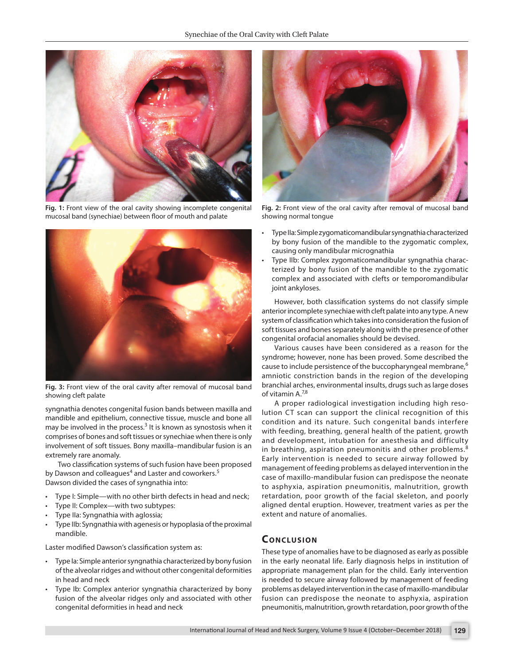

**Fig. 1:** Front view of the oral cavity showing incomplete congenital mucosal band (synechiae) between floor of mouth and palate



**Fig. 3:** Front view of the oral cavity after removal of mucosal band showing cleft palate

syngnathia denotes congenital fusion bands between maxilla and mandible and epithelium, connective tissue, muscle and bone all may be involved in the process.<sup>3</sup> It is known as synostosis when it comprises of bones and soft tissues or synechiae when there is only involvement of soft tissues. Bony maxilla–mandibular fusion is an extremely rare anomaly.

Two classification systems of such fusion have been proposed by Dawson and colleagues<sup>4</sup> and Laster and coworkers.<sup>5</sup> Dawson divided the cases of syngnathia into:

- Type I: Simple—with no other birth defects in head and neck;
- Type II: Complex—with two subtypes:
- Type IIa: Syngnathia with aglossia;
- Type IIb: Syngnathia with agenesis or hypoplasia of the proximal mandible.

Laster modified Dawson's classification system as:

- Type Ia: Simple anterior syngnathia characterized by bony fusion of the alveolar ridges and without other congenital deformities in head and neck
- Type Ib: Complex anterior syngnathia characterized by bony fusion of the alveolar ridges only and associated with other congenital deformities in head and neck



**Fig. 2:** Front view of the oral cavity after removal of mucosal band showing normal tongue

- Type IIa: Simple zygomaticomandibular syngnathia characterized by bony fusion of the mandible to the zygomatic complex, causing only mandibular micrognathia
- Type IIb: Complex zygomaticomandibular syngnathia characterized by bony fusion of the mandible to the zygomatic complex and associated with clefts or temporomandibular joint ankyloses.

However, both classification systems do not classify simple anterior incomplete synechiae with cleft palate into any type. A new system of classification which takes into consideration the fusion of soft tissues and bones separately along with the presence of other congenital orofacial anomalies should be devised.

Various causes have been considered as a reason for the syndrome; however, none has been proved. Some described the cause to include persistence of the buccopharyngeal membrane,<sup>6</sup> amniotic constriction bands in the region of the developing branchial arches, environmental insults, drugs such as large doses of vitamin A.<sup>7,8</sup>

A proper radiological investigation including high resolution CT scan can support the clinical recognition of this condition and its nature. Such congenital bands interfere with feeding, breathing, general health of the patient, growth and development, intubation for anesthesia and difficulty in breathing, aspiration pneumonitis and other problems.<sup>8</sup> Early intervention is needed to secure airway followed by management of feeding problems as delayed intervention in the case of maxillo-mandibular fusion can predispose the neonate to asphyxia, aspiration pneumonitis, malnutrition, growth retardation, poor growth of the facial skeleton, and poorly aligned dental eruption. However, treatment varies as per the extent and nature of anomalies.

## **CONCLUSION**

These type of anomalies have to be diagnosed as early as possible in the early neonatal life. Early diagnosis helps in institution of appropriate management plan for the child. Early intervention is needed to secure airway followed by management of feeding problems as delayed intervention in the case of maxillo-mandibular fusion can predispose the neonate to asphyxia, aspiration pneumonitis, malnutrition, growth retardation, poor growth of the